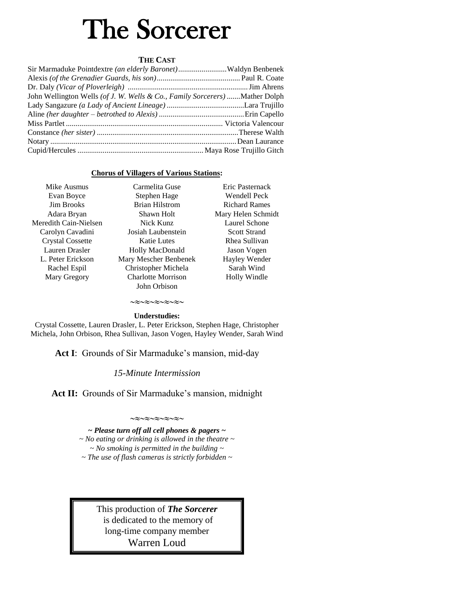# The Sorcerer

# **THE CAST**

| Sir Marmaduke Pointdextre (an elderly Baronet)Waldyn Benbenek               |  |
|-----------------------------------------------------------------------------|--|
|                                                                             |  |
|                                                                             |  |
| John Wellington Wells (of J. W. Wells & Co., Family Sorcerers) Mather Dolph |  |
|                                                                             |  |
|                                                                             |  |
|                                                                             |  |
|                                                                             |  |
|                                                                             |  |
|                                                                             |  |

# **Chorus of Villagers of Various Stations:**

| Mike Ausmus             | Carmelita Guse            | Eric Pasternack      |
|-------------------------|---------------------------|----------------------|
| Evan Boyce              | Stephen Hage              | Wendell Peck         |
| <b>Jim Brooks</b>       | <b>Brian Hilstrom</b>     | <b>Richard Rames</b> |
| Adara Bryan             | Shawn Holt                | Mary Helen Schmidt   |
| Meredith Cain-Nielsen   | Nick Kunz                 | Laurel Schone        |
| Carolyn Cavadini        | Josiah Laubenstein        | <b>Scott Strand</b>  |
| <b>Crystal Cossette</b> | <b>Katie Lutes</b>        | Rhea Sullivan        |
| Lauren Drasler          | Holly MacDonald           | Jason Vogen          |
| L. Peter Erickson       | Mary Mescher Benbenek     | Hayley Wender        |
| Rachel Espil            | Christopher Michela       | Sarah Wind           |
| Mary Gregory            | <b>Charlotte Morrison</b> | Holly Windle         |
|                         | John Orbison              |                      |
|                         |                           |                      |

# ∞≈∼≈∼≈∼≈∼≈∼ **Understudies:**

Crystal Cossette, Lauren Drasler, L. Peter Erickson, Stephen Hage, Christopher Michela, John Orbison, Rhea Sullivan, Jason Vogen, Hayley Wender, Sarah Wind

**Act I**: Grounds of Sir Marmaduke's mansion, mid-day

# *15-Minute Intermission*

Act II: Grounds of Sir Marmaduke's mansion, midnight

#### $\sim$ z $\sim$ z $\sim$ z $\sim$ z $\sim$

*~ Please turn off all cell phones & pagers ~ ~ No eating or drinking is allowed in the theatre ~ ~ No smoking is permitted in the building ~ ~ The use of flash cameras is strictly forbidden ~*

> This production of *The Sorcerer* is dedicated to the memory of long-time company member Warren Loud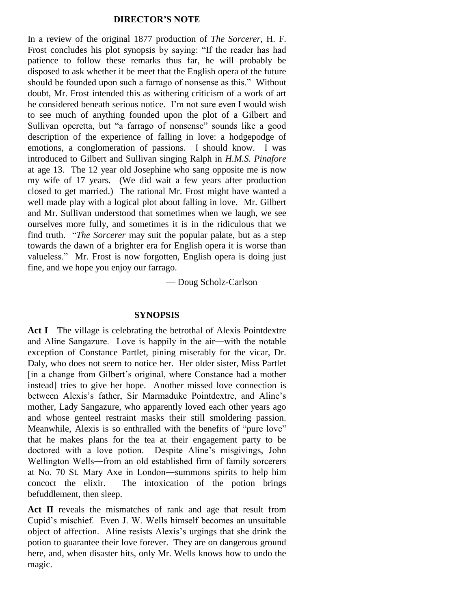#### **DIRECTOR'S NOTE**

In a review of the original 1877 production of *The Sorcerer*, H. F. Frost concludes his plot synopsis by saying: "If the reader has had patience to follow these remarks thus far, he will probably be disposed to ask whether it be meet that the English opera of the future should be founded upon such a farrago of nonsense as this." Without doubt, Mr. Frost intended this as withering criticism of a work of art he considered beneath serious notice. I'm not sure even I would wish to see much of anything founded upon the plot of a Gilbert and Sullivan operetta, but "a farrago of nonsense" sounds like a good description of the experience of falling in love: a hodgepodge of emotions, a conglomeration of passions. I should know. I was introduced to Gilbert and Sullivan singing Ralph in *H.M.S. Pinafore* at age 13. The 12 year old Josephine who sang opposite me is now my wife of 17 years. (We did wait a few years after production closed to get married.) The rational Mr. Frost might have wanted a well made play with a logical plot about falling in love. Mr. Gilbert and Mr. Sullivan understood that sometimes when we laugh, we see ourselves more fully, and sometimes it is in the ridiculous that we find truth. "*The Sorcerer* may suit the popular palate, but as a step towards the dawn of a brighter era for English opera it is worse than valueless." Mr. Frost is now forgotten, English opera is doing just fine, and we hope you enjoy our farrago.

— Doug Scholz-Carlson

#### **SYNOPSIS**

Act I The village is celebrating the betrothal of Alexis Pointdextre and Aline Sangazure. Love is happily in the air―with the notable exception of Constance Partlet, pining miserably for the vicar, Dr. Daly, who does not seem to notice her. Her older sister, Miss Partlet [in a change from Gilbert's original, where Constance had a mother instead] tries to give her hope. Another missed love connection is between Alexis's father, Sir Marmaduke Pointdextre, and Aline's mother, Lady Sangazure, who apparently loved each other years ago and whose genteel restraint masks their still smoldering passion. Meanwhile, Alexis is so enthralled with the benefits of "pure love" that he makes plans for the tea at their engagement party to be doctored with a love potion. Despite Aline's misgivings, John Wellington Wells―from an old established firm of family sorcerers at No. 70 St. Mary Axe in London―summons spirits to help him concoct the elixir. The intoxication of the potion brings befuddlement, then sleep.

**Act II** reveals the mismatches of rank and age that result from Cupid's mischief. Even J. W. Wells himself becomes an unsuitable object of affection. Aline resists Alexis's urgings that she drink the potion to guarantee their love forever. They are on dangerous ground here, and, when disaster hits, only Mr. Wells knows how to undo the magic.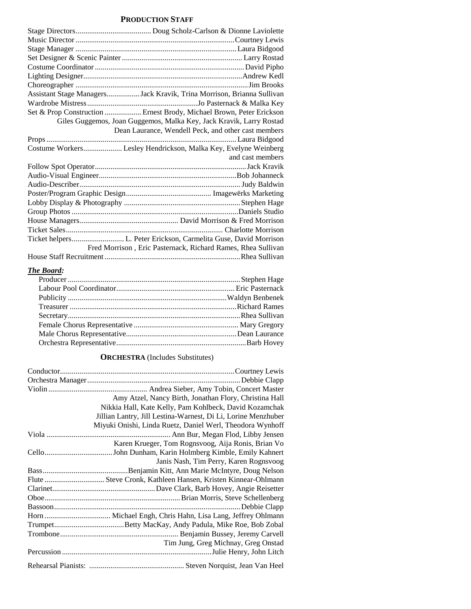#### **PRODUCTION STAFF**

| Assistant Stage ManagersJack Kravik, Trina Morrison, Brianna Sullivan |  |  |
|-----------------------------------------------------------------------|--|--|
|                                                                       |  |  |
| Set & Prop Construction  Ernest Brody, Michael Brown, Peter Erickson  |  |  |
| Giles Guggemos, Joan Guggemos, Malka Key, Jack Kravik, Larry Rostad   |  |  |
| Dean Laurance, Wendell Peck, and other cast members                   |  |  |
|                                                                       |  |  |
| Costume Workers Lesley Hendrickson, Malka Key, Evelyne Weinberg       |  |  |
| and cast members                                                      |  |  |
|                                                                       |  |  |
|                                                                       |  |  |
|                                                                       |  |  |
|                                                                       |  |  |
|                                                                       |  |  |
|                                                                       |  |  |
|                                                                       |  |  |
|                                                                       |  |  |
|                                                                       |  |  |
| Fred Morrison, Eric Pasternack, Richard Rames, Rhea Sullivan          |  |  |
|                                                                       |  |  |

# *The Board:*

# **ORCHESTRA** (Includes Substitutes)

| Amy Atzel, Nancy Birth, Jonathan Flory, Christina Hall        |
|---------------------------------------------------------------|
| Nikkia Hall, Kate Kelly, Pam Kohlbeck, David Kozamchak        |
| Jillian Lantry, Jill Lestina-Warnest, Di Li, Lorine Menzhuber |
| Miyuki Onishi, Linda Ruetz, Daniel Werl, Theodora Wynhoff     |
|                                                               |
| Karen Krueger, Tom Rognsvoog, Aija Ronis, Brian Vo            |
|                                                               |
| Janis Nash, Tim Perry, Karen Rognsvoog                        |
|                                                               |
|                                                               |
|                                                               |
|                                                               |
|                                                               |
|                                                               |
|                                                               |
|                                                               |
| Tim Jung, Greg Michnay, Greg Onstad                           |
|                                                               |
|                                                               |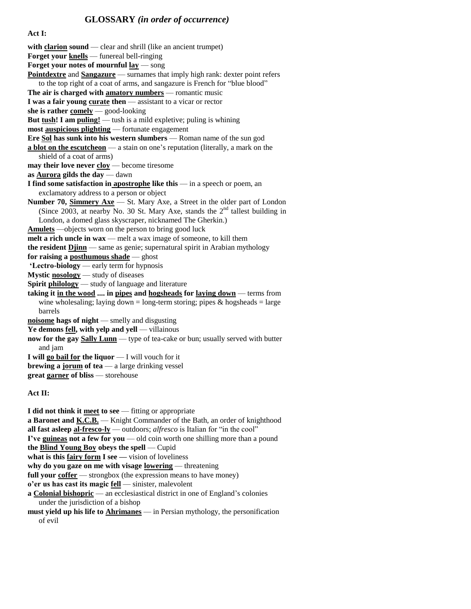# **GLOSSARY** *(in order of occurrence)*

**Act I:** 

with **clarion sound** — clear and shrill (like an ancient trumpet) **Forget your knells** — funereal bell-ringing **Forget your notes of mournful lay** — song **Pointdextre** and **Sangazure** — surnames that imply high rank: dexter point refers to the top right of a coat of arms, and sangazure is French for "blue blood" **The air is charged with amatory numbers** — romantic music **I was a fair young curate then** — assistant to a vicar or rector **she is rather comely** — good-looking **But tush! I am puling!** — tush is a mild expletive; puling is whining **most auspicious plighting** — fortunate engagement **Ere Sol has sunk into his western slumbers** — Roman name of the sun god **a blot on the escutcheon** — a stain on one's reputation (literally, a mark on the shield of a coat of arms) **may their love never <u>cloy</u>** — become tiresome **as Aurora gilds the day** — dawn **I find some satisfaction in apostrophe like this** — in a speech or poem, an exclamatory address to a person or object **Number 70, Simmery Axe** — St. Mary Axe, a Street in the older part of London (Since 2003, at nearby No. 30 St. Mary Axe, stands the  $2<sup>nd</sup>$  tallest building in London, a domed glass skyscraper, nicknamed The Gherkin.) **Amulets** —objects worn on the person to bring good luck **melt a rich uncle in wax** — melt a wax image of someone, to kill them **the resident Djinn** — same as genie; supernatural spirit in Arabian mythology **for raising a posthumous shade** — ghost **'Lectro-biology** — early term for hypnosis **Mystic nosology** — study of diseases **Spirit philology** — study of language and literature **taking it in the wood .... in pipes and hogsheads for laying down** — terms from wine wholesaling; laying down = long-term storing; pipes  $\&$  hogsheads = large barrels **noisome hags of night** — smelly and disgusting Ye demons **fell**, with yelp and yell — villainous **now for the gay Sally Lunn** — type of tea-cake or bun; usually served with butter and jam **I will go bail for the liquor** — I will vouch for it **brewing a jorum of tea** — a large drinking vessel **great garner of bliss** — storehouse

#### **Act II:**

**I did not think it meet to see** — fitting or appropriate **a Baronet and K.C.B.** — Knight Commander of the Bath, an order of knighthood **all fast asleep al-fresco-ly** — outdoors; *alfresco* is Italian for "in the cool"

**I've guineas not a few for you** — old coin worth one shilling more than a pound

**the Blind Young Boy obeys the spell** — Cupid

**what is this fairy form I see —** vision of loveliness

**why do you gaze on me with visage lowering** — threatening

full your coffer — strongbox (the expression means to have money)

**o'er us has cast its magic fell** — sinister, malevolent

**a Colonial bishopric** — an ecclesiastical district in one of England's colonies under the jurisdiction of a bishop

**must yield up his life to Ahrimanes** — in Persian mythology, the personification of evil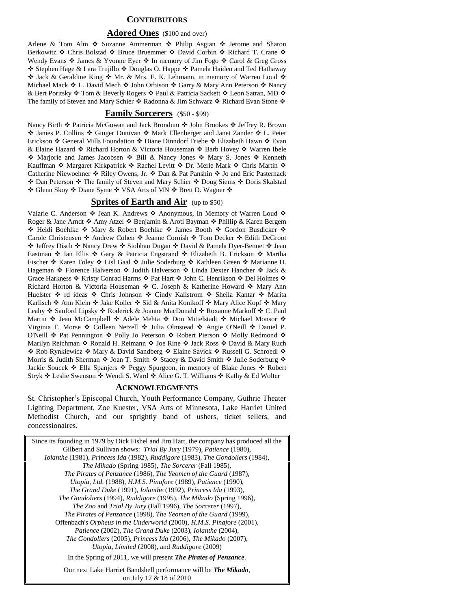#### **CONTRIBUTORS**

#### **Adored Ones** (\$100 and over)

Arlene & Tom Alm  $\div$  Suzanne Ammerman  $\div$  Philip Asgian  $\div$  Jerome and Sharon Berkowitz Genesis Bolstad Stellard T. Crane Stellard T. Crane Stellard T. Crane Stellard T. Crane Stellard T. Crane Stellard T. Crane Stellard T. Crane Stellard T. Crane Stellard T. Crane Stellard T. Crane Stellard T. C Wendy Evans  $\cdot$  James & Yvonne Eyer  $\cdot$  In memory of Jim Fogo  $\cdot$  Carol & Greg Gross ❖ Stephen Hage & Lara Trujillo ❖ Douglas O. Happe ❖ Pamela Haiden and Ted Hathaway ◆ Jack & Geraldine King ◆ Mr. & Mrs. E. K. Lehmann, in memory of Warren Loud ◆ Michael Mack ❖ L. David Mech ❖ John Orbison ❖ Garry & Mary Ann Peterson ❖ Nancy & Bert Poritsky �� Tom & Beverly Rogers �� Paul & Patricia Sackett �� Leon Satran, MD �� The family of Steven and Mary Schier  $\triangleleft$  Radonna & Jim Schwarz  $\triangleleft$  Richard Evan Stone  $\triangleleft$ 

#### **Family Sorcerers** (\$50 - \$99)

Nancy Birth ❖ Patricia McGowan and Jack Brondum ❖ John Brookes ❖ Jeffrey R. Brown ◆ James P. Collins ◆ Ginger Dunivan ◆ Mark Ellenberger and Janet Zander ◆ L. Peter Erickson ❖ General Mills Foundation ❖ Diane Dinndorf Friebe ❖ Elizabeth Hawn ❖ Evan & Elaine Hazard  $\triangleleft$  Richard Horton & Victoria Houseman  $\triangleleft$  Barb Hovey  $\triangleleft$  Warren Ibele  $\diamond$  Marjorie and James Jacobsen  $\diamond$  Bill & Nancy Jones  $\diamond$  Mary S. Jones  $\diamond$  Kenneth Kauffman \* Margaret Kirkpatrick \* Rachel Levitt \* Dr. Merle Mark \* Chris Martin \* Catherine Niewoehner  $\triangleleft$  Riley Owens, Jr.  $\triangleleft$  Dan & Pat Panshin  $\triangleleft$  Jo and Eric Pasternack ◆ Dan Peterson ◆ The family of Steven and Mary Schier ◆ Doug Siems ◆ Doris Skalstad ◆ Glenn Skoy ◆ Diane Syme ◆ VSA Arts of MN ◆ Brett D. Wagner ◆

#### **Sprites of Earth and Air** (up to \$50)

Valarie C. Anderson  $\clubsuit$  Jean K. Andrews  $\clubsuit$  Anonymous, In Memory of Warren Loud  $\clubsuit$ Roger & Jane Arndt  $\triangle$  Amy Atzel  $\triangle$  Benjamin & Aroti Bayman  $\triangle$  Phillip & Karen Bergem ◆ Heidi Boehlke ◆ Mary & Robert Boehlke ◆ James Booth ◆ Gordon Busdicker ◆ Carole Christensen ❖ Andrew Cohen ❖ Jeanne Cornish ❖ Tom Decker ❖ Edith DeGroot ◆ Jeffrey Disch ◆ Nancy Drew ◆ Siobhan Dugan ◆ David & Pamela Dyer-Bennet ◆ Jean Eastman  $*$  Ian Ellis  $*$  Gary & Patricia Engstrand  $*$  Elizabeth B. Erickson  $*$  Martha Fischer ❖ Karen Foley ❖ Lisl Gaal ❖ Julie Soderburg ❖ Kathleen Green ❖ Marianne D. Hageman ❖ Florence Halverson ❖ Judith Halverson ❖ Linda Dexter Hancher ❖ Jack & Grace Harkness  $\div$  Kristy Conrad Harms  $\div$  Pat Hart  $\div$  John C. Henrikson  $\div$  Del Holmes  $\div$ Richard Horton & Victoria Houseman ♦ C. Joseph & Katherine Howard ♦ Mary Ann Huelster ❖ rd ideas ❖ Chris Johnson ❖ Cindy Kallstrom ❖ Sheila Kantar ❖ Marita Karlisch  $\cdot$  Ann Klein  $\cdot$  Jake Koller  $\cdot$  Sid & Anita Konikoff  $\cdot$  Mary Alice Kopf  $\cdot$  Mary Leahy ❖ Sanford Lipsky ❖ Roderick & Joanne MacDonald ❖ Roxanne Markoff ❖ C. Paul Martin  $\cdot$  Jean McCampbell  $\cdot$  Adele Mehta  $\cdot$  Don Mittelstadt  $\cdot$  Michael Monsor  $\cdot$ Virginia F. Morse ❖ Colleen Netzell ❖ Julia Olmstead ❖ Angie O'Neill ❖ Daniel P. O'Neill  $\triangle$  Pat Pennington  $\triangle$  Polly Jo Peterson  $\triangle$  Robert Pierson  $\triangle$  Molly Redmond  $\triangle$ Marilyn Reichman  $\cdot$  Ronald H. Reimann  $\cdot$  Joe Rine  $\cdot$  Jack Ross  $\cdot$  David & Mary Ruch \* Rob Rynkiewicz \* Mary & David Sandberg \* Elaine Savick \* Russell G. Schroedl \* Morris & Judith Sherman  $\cdot$  Joan T. Smith  $\cdot$  Stacey & David Smith  $\cdot$  Julie Soderburg  $\cdot$ Jackie Soucek  $\triangleleft$  Ella Spanjers  $\triangleleft$  Peggy Spurgeon, in memory of Blake Jones  $\triangleleft$  Robert Stryk ❖ Leslie Swenson ❖ Wendi S. Ward ❖ Alice G. T. Williams ❖ Kathy & Ed Wolter

#### **ACKNOWLEDGMENTS**

St. Christopher's Episcopal Church, Youth Performance Company, Guthrie Theater Lighting Department, Zoe Kuester, VSA Arts of Minnesota, Lake Harriet United Methodist Church, and our sprightly band of ushers, ticket sellers, and concessionaires.

Since its founding in 1979 by Dick Fishel and Jim Hart, the company has produced all the Gilbert and Sullivan shows: *Trial By Jury* (1979), *Patience* (1980), *Iolanthe* (1981), *Princess Ida* (1982), *Ruddigore* (1983), *The Gondoliers* (1984), *The Mikado* (Spring 1985), *The Sorcerer* (Fall 1985), *The Pirates of Penzance* (1986), *The Yeomen of the Guard* (1987), *Utopia, Ltd.* (1988), *H.M.S. Pinafore* (1989), *Patience* (1990), *The Grand Duke* (1991), *Iolanthe* (1992), *Princess Ida* (1993), *The Gondoliers* (1994), *Ruddigore* (1995), *The Mikado* (Spring 1996), *The Zoo* and *Trial By Jury* (Fall 1996), *The Sorcerer* (1997), *The Pirates of Penzance* (1998), *The Yeomen of the Guard* (1999), Offenbach's *Orpheus in the Underworld* (2000), *H.M.S. Pinafore* (2001), *Patience* (2002), *The Grand Duke* (2003), *Iolanthe* (2004), *The Gondoliers* (2005), *Princess Ida* (2006), *The Mikado* (2007), *Utopia, Limited* (2008), and *Ruddigore* (2009) In the Spring of 2011, we will present *The Pirates of Penzance*. Our next Lake Harriet Bandshell performance will be *The Mikado*,

on July 17 & 18 of 2010